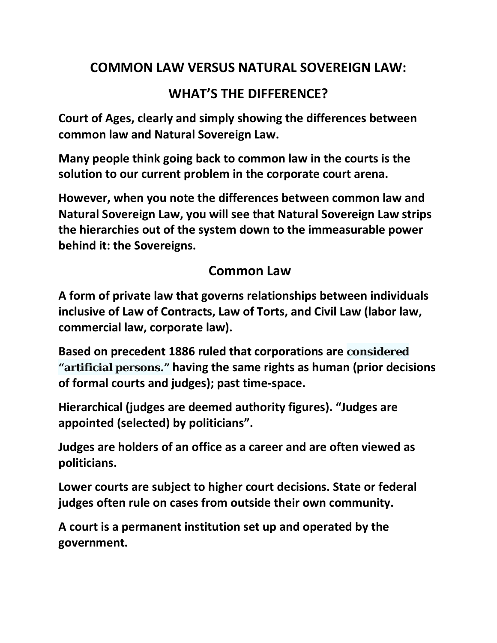# **COMMON LAW VERSUS NATURAL SOVEREIGN LAW:**

# **WHAT'S THE DIFFERENCE?**

**Court of Ages, clearly and simply showing the differences between common law and Natural Sovereign Law.**

**Many people think going back to common law in the courts is the solution to our current problem in the corporate court arena.** 

**However, when you note the differences between common law and Natural Sovereign Law, you will see that Natural Sovereign Law strips the hierarchies out of the system down to the immeasurable power behind it: the Sovereigns.**

#### **Common Law**

**A form of private law that governs relationships between individuals inclusive of Law of Contracts, Law of Torts, and Civil Law (labor law, commercial law, corporate law).**

**Based on precedent 1886 ruled that corporations are considered "artificial persons." having the same rights as human (prior decisions of formal courts and judges); past time-space.**

**Hierarchical (judges are deemed authority figures). "Judges are appointed (selected) by politicians".**

**Judges are holders of an office as a career and are often viewed as politicians.**

**Lower courts are subject to higher court decisions. State or federal judges often rule on cases from outside their own community.**

**A court is a permanent institution set up and operated by the government.**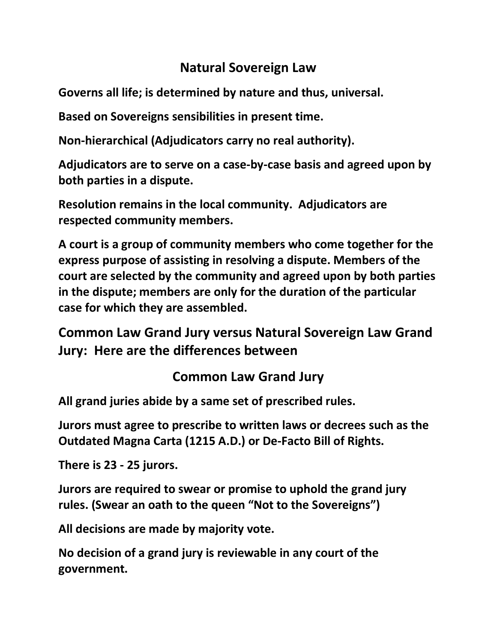## **Natural Sovereign Law**

**Governs all life; is determined by nature and thus, universal.**

**Based on Sovereigns sensibilities in present time.**

**Non-hierarchical (Adjudicators carry no real authority).**

**Adjudicators are to serve on a case-by-case basis and agreed upon by both parties in a dispute.**

**Resolution remains in the local community. Adjudicators are respected community members.**

**A court is a group of community members who come together for the express purpose of assisting in resolving a dispute. Members of the court are selected by the community and agreed upon by both parties in the dispute; members are only for the duration of the particular case for which they are assembled.**

**Common Law Grand Jury versus Natural Sovereign Law Grand Jury: Here are the differences between**

## **Common Law Grand Jury**

**All grand juries abide by a same set of prescribed rules.**

**Jurors must agree to prescribe to written laws or decrees such as the Outdated Magna Carta (1215 A.D.) or De-Facto Bill of Rights.**

**There is 23 - 25 jurors.**

**Jurors are required to swear or promise to uphold the grand jury rules. (Swear an oath to the queen "Not to the Sovereigns")**

**All decisions are made by majority vote.**

**No decision of a grand jury is reviewable in any court of the government.**